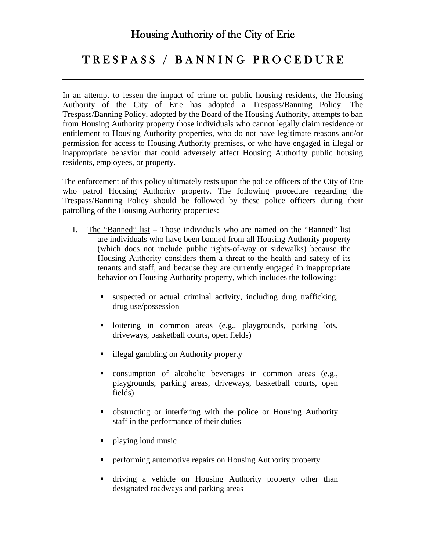## Housing Authority of the City of Erie

## T R E S P A S S / B A N N I N G P R O C E D U R E

In an attempt to lessen the impact of crime on public housing residents, the Housing Authority of the City of Erie has adopted a Trespass/Banning Policy. The Trespass/Banning Policy, adopted by the Board of the Housing Authority, attempts to ban from Housing Authority property those individuals who cannot legally claim residence or entitlement to Housing Authority properties, who do not have legitimate reasons and/or permission for access to Housing Authority premises, or who have engaged in illegal or inappropriate behavior that could adversely affect Housing Authority public housing residents, employees, or property.

The enforcement of this policy ultimately rests upon the police officers of the City of Erie who patrol Housing Authority property. The following procedure regarding the Trespass/Banning Policy should be followed by these police officers during their patrolling of the Housing Authority properties:

- I. The "Banned" list Those individuals who are named on the "Banned" list are individuals who have been banned from all Housing Authority property (which does not include public rights-of-way or sidewalks) because the Housing Authority considers them a threat to the health and safety of its tenants and staff, and because they are currently engaged in inappropriate behavior on Housing Authority property, which includes the following:
	- suspected or actual criminal activity, including drug trafficking, drug use/possession
	- I loitering in common areas (e.g., playgrounds, parking lots, driveways, basketball courts, open fields)
	- illegal gambling on Authority property
	- consumption of alcoholic beverages in common areas (e.g., playgrounds, parking areas, driveways, basketball courts, open fields)
	- obstructing or interfering with the police or Housing Authority staff in the performance of their duties
	- playing loud music
	- performing automotive repairs on Housing Authority property
	- driving a vehicle on Housing Authority property other than designated roadways and parking areas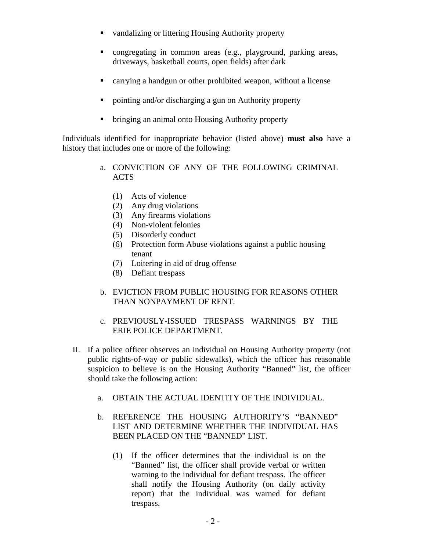- vandalizing or littering Housing Authority property
- congregating in common areas (e.g., playground, parking areas, driveways, basketball courts, open fields) after dark
- carrying a handgun or other prohibited weapon, without a license
- pointing and/or discharging a gun on Authority property
- bringing an animal onto Housing Authority property

Individuals identified for inappropriate behavior (listed above) **must also** have a history that includes one or more of the following:

- a. CONVICTION OF ANY OF THE FOLLOWING CRIMINAL ACTS
	- (1) Acts of violence
	- (2) Any drug violations
	- (3) Any firearms violations
	- (4) Non-violent felonies
	- (5) Disorderly conduct
	- (6) Protection form Abuse violations against a public housing tenant
	- (7) Loitering in aid of drug offense
	- (8) Defiant trespass
- b. EVICTION FROM PUBLIC HOUSING FOR REASONS OTHER THAN NONPAYMENT OF RENT.
- c. PREVIOUSLY-ISSUED TRESPASS WARNINGS BY THE ERIE POLICE DEPARTMENT.
- II. If a police officer observes an individual on Housing Authority property (not public rights-of-way or public sidewalks), which the officer has reasonable suspicion to believe is on the Housing Authority "Banned" list, the officer should take the following action:
	- a. OBTAIN THE ACTUAL IDENTITY OF THE INDIVIDUAL.
	- b. REFERENCE THE HOUSING AUTHORITY'S "BANNED" LIST AND DETERMINE WHETHER THE INDIVIDUAL HAS BEEN PLACED ON THE "BANNED" LIST.
		- (1) If the officer determines that the individual is on the "Banned" list, the officer shall provide verbal or written warning to the individual for defiant trespass. The officer shall notify the Housing Authority (on daily activity report) that the individual was warned for defiant trespass.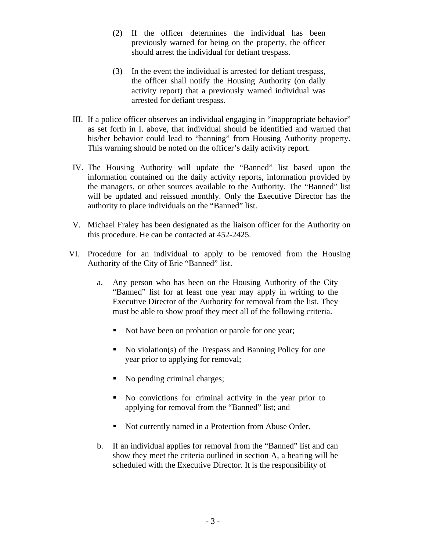- (2) If the officer determines the individual has been previously warned for being on the property, the officer should arrest the individual for defiant trespass.
- (3) In the event the individual is arrested for defiant trespass, the officer shall notify the Housing Authority (on daily activity report) that a previously warned individual was arrested for defiant trespass.
- III. If a police officer observes an individual engaging in "inappropriate behavior" as set forth in I. above, that individual should be identified and warned that his/her behavior could lead to "banning" from Housing Authority property. This warning should be noted on the officer's daily activity report.
- IV. The Housing Authority will update the "Banned" list based upon the information contained on the daily activity reports, information provided by the managers, or other sources available to the Authority. The "Banned" list will be updated and reissued monthly. Only the Executive Director has the authority to place individuals on the "Banned" list.
- V. Michael Fraley has been designated as the liaison officer for the Authority on this procedure. He can be contacted at 452-2425.
- VI. Procedure for an individual to apply to be removed from the Housing Authority of the City of Erie "Banned" list.
	- a. Any person who has been on the Housing Authority of the City "Banned" list for at least one year may apply in writing to the Executive Director of the Authority for removal from the list. They must be able to show proof they meet all of the following criteria.
		- Not have been on probation or parole for one year;
		- No violation(s) of the Trespass and Banning Policy for one year prior to applying for removal;
		- No pending criminal charges;
		- No convictions for criminal activity in the year prior to applying for removal from the "Banned" list; and
		- Not currently named in a Protection from Abuse Order.
	- b. If an individual applies for removal from the "Banned" list and can show they meet the criteria outlined in section A, a hearing will be scheduled with the Executive Director. It is the responsibility of